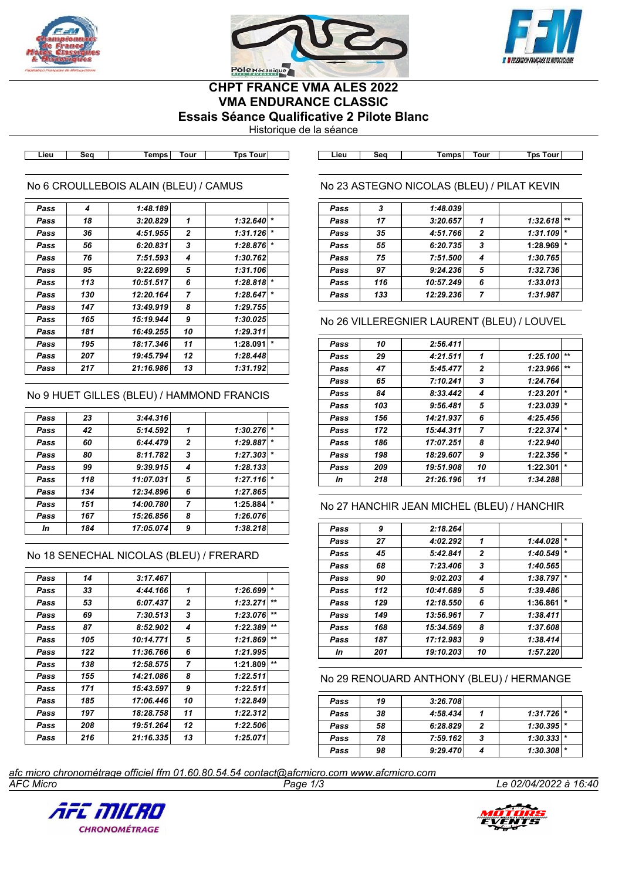





# **CHPT FRANCE VMA ALES 2022 VMA ENDURANCE CLASSIC**

**Essais Séance Qualificative 2 Pilote Blanc**

Historique de la séance

**Lieu Seq Temps Tour Tps Tour Lieu Seq Temps Tour Tps Tour**

#### No 6 CROULLEBOIS ALAIN (BLEU) / CAMUS

| Pass | 4   | 1:48.189  |                |          |         |
|------|-----|-----------|----------------|----------|---------|
| Pass | 18  | 3:20.829  | 1              | 1:32.640 | $\star$ |
| Pass | 36  | 4:51.955  | $\mathbf{2}$   | 1:31.126 | $\star$ |
| Pass | 56  | 6:20.831  | 3              | 1:28.876 | $\star$ |
| Pass | 76  | 7:51.593  | 4              | 1:30.762 |         |
| Pass | 95  | 9:22.699  | 5              | 1:31.106 |         |
| Pass | 113 | 10:51.517 | 6              | 1:28.818 | $\star$ |
| Pass | 130 | 12:20.164 | $\overline{ }$ | 1:28.647 | $\star$ |
| Pass | 147 | 13:49.919 | 8              | 1:29.755 |         |
| Pass | 165 | 15:19.944 | 9              | 1:30.025 |         |
| Pass | 181 | 16:49.255 | 10             | 1:29.311 |         |
| Pass | 195 | 18:17.346 | 11             | 1:28.091 | $\star$ |
| Pass | 207 | 19:45.794 | 12             | 1:28.448 |         |
| Pass | 217 | 21:16.986 | 13             | 1:31.192 |         |
|      |     |           |                |          |         |

### No 9 HUET GILLES (BLEU) / HAMMOND FRANCIS

| Pass | 23  | 3:44.316  |                |                     |
|------|-----|-----------|----------------|---------------------|
| Pass | 42  | 5:14.592  | 1              | $\star$<br>1:30.276 |
| Pass | 60  | 6:44.479  | $\overline{2}$ | $\star$<br>1:29.887 |
| Pass | 80  | 8:11.782  | 3              | $\star$<br>1:27.303 |
| Pass | 99  | 9:39.915  | 4              | 1:28.133            |
| Pass | 118 | 11:07.031 | 5              | $\star$<br>1:27.116 |
| Pass | 134 | 12:34.896 | 6              | 1:27.865            |
| Pass | 151 | 14:00.780 | $\overline{7}$ | $\star$<br>1:25.884 |
| Pass | 167 | 15:26.856 | 8              | 1:26.076            |
| In   | 184 | 17:05.074 | 9              | 1:38.218            |

#### No 18 SENECHAL NICOLAS (BLEU) / FRERARD

| Pass | 14  | 3:17.467  |              |          |              |
|------|-----|-----------|--------------|----------|--------------|
| Pass | 33  | 4:44.166  | 1            | 1:26.699 | $\star$      |
| Pass | 53  | 6:07.437  | $\mathbf{2}$ | 1:23.271 | $+ +$        |
| Pass | 69  | 7:30.513  | 3            | 1:23.076 | $***$        |
| Pass | 87  | 8:52.902  | 4            | 1:22.389 | $\star\star$ |
| Pass | 105 | 10:14.771 | 5            | 1:21.869 | $+1$         |
| Pass | 122 | 11:36.766 | 6            | 1:21.995 |              |
| Pass | 138 | 12:58.575 | 7            | 1:21.809 | $***$        |
| Pass | 155 | 14:21.086 | 8            | 1:22.511 |              |
| Pass | 171 | 15:43.597 | 9            | 1:22.511 |              |
| Pass | 185 | 17:06.446 | 10           | 1:22.849 |              |
| Pass | 197 | 18:28.758 | 11           | 1:22.312 |              |
| Pass | 208 | 19:51.264 | 12           | 1:22.506 |              |
| Pass | 216 | 21:16.335 | 13           | 1:25.071 |              |

## No 23 ASTEGNO NICOLAS (BLEU) / PILAT KEVIN

| Pass | 3   | 1:48.039  |                |          |         |
|------|-----|-----------|----------------|----------|---------|
| Pass | 17  | 3:20.657  |                | 1:32.618 | $**$    |
| Pass | 35  | 4:51.766  | $\overline{2}$ | 1:31.109 | $\star$ |
| Pass | 55  | 6:20.735  | 3              | 1:28.969 | $\star$ |
| Pass | 75  | 7:51.500  | 4              | 1:30.765 |         |
| Pass | 97  | 9:24.236  | 5              | 1:32.736 |         |
| Pass | 116 | 10:57.249 | 6              | 1:33.013 |         |
| Pass | 133 | 12:29.236 |                | 1:31.987 |         |

### No 26 VILLEREGNIER LAURENT (BLEU) / LOUVEL

| Pass | 10  | 2:56.411  |                |          |         |
|------|-----|-----------|----------------|----------|---------|
| Pass | 29  | 4:21.511  | 1              | 1:25.100 | $+ +$   |
| Pass | 47  | 5:45.477  | 2              | 1:23.966 | $+ +$   |
| Pass | 65  | 7:10.241  | 3              | 1:24.764 |         |
| Pass | 84  | 8:33.442  | 4              | 1:23.201 | $\star$ |
| Pass | 103 | 9:56.481  | 5              | 1:23.039 | $\star$ |
| Pass | 156 | 14:21.937 | 6              | 4:25.456 |         |
| Pass | 172 | 15:44.311 | $\overline{7}$ | 1:22.374 | $\star$ |
| Pass | 186 | 17:07.251 | 8              | 1:22.940 |         |
| Pass | 198 | 18:29.607 | 9              | 1:22.356 | $\star$ |
| Pass | 209 | 19:51.908 | 10             | 1:22.301 | $\star$ |
| In   | 218 | 21:26.196 | 11             | 1:34.288 |         |

#### No 27 HANCHIR JEAN MICHEL (BLEU) / HANCHIR

| Pass | 9   | 2:18.264  |                |          |         |
|------|-----|-----------|----------------|----------|---------|
| Pass | 27  | 4:02.292  | 1              | 1:44.028 | $\star$ |
| Pass | 45  | 5:42.841  | $\overline{2}$ | 1:40.549 | $\star$ |
| Pass | 68  | 7:23.406  | 3              | 1:40.565 |         |
| Pass | 90  | 9:02.203  | 4              | 1:38.797 | $\star$ |
| Pass | 112 | 10:41.689 | 5              | 1:39.486 |         |
| Pass | 129 | 12:18.550 | 6              | 1:36.861 | $\star$ |
| Pass | 149 | 13:56.961 | $\overline{7}$ | 1:38.411 |         |
| Pass | 168 | 15:34.569 | 8              | 1:37.608 |         |
| Pass | 187 | 17:12.983 | 9              | 1:38.414 |         |
| In   | 201 | 19:10.203 | 10             | 1:57.220 |         |
|      |     |           |                |          |         |

#### No 29 RENOUARD ANTHONY (BLEU) / HERMANGE

| Pass | 19 | 3:26.708 |   |               |  |
|------|----|----------|---|---------------|--|
| Pass | 38 | 4:58.434 |   | $1:31.726$ *  |  |
| Pass | 58 | 6:28.829 | 2 | $1:30.395$  * |  |
| Pass | 78 | 7:59.162 | 3 | $1:30.333$  * |  |
| Pass | 98 | 9:29.470 |   | $1:30.308$ *  |  |

*AFC Micro Page 1/3 Le 02/04/2022 à 16:40 afc micro chronométrage officiel ffm 01.60.80.54.54 contact@afcmicro.com www.afcmicro.com*



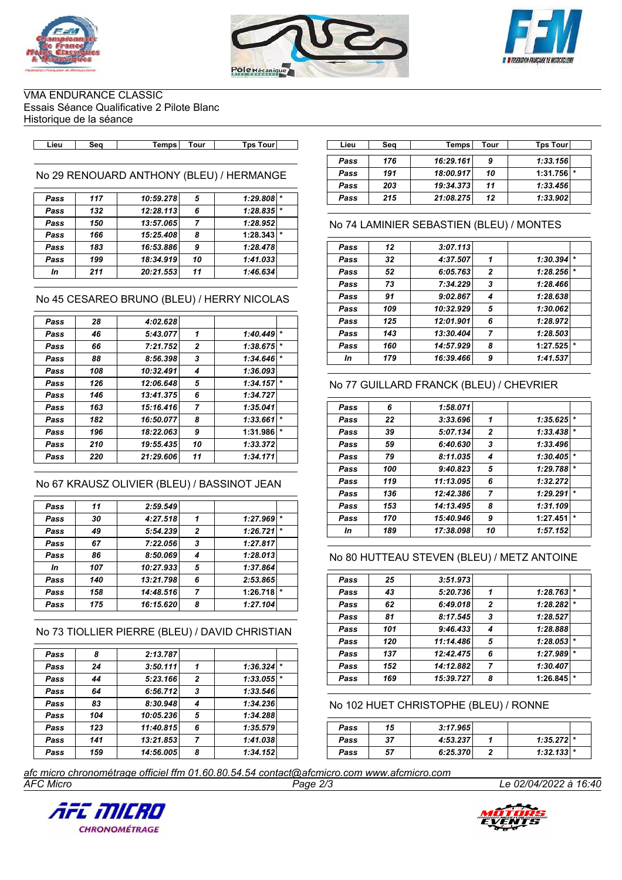





VMA ENDURANCE CLASSIC Essais Séance Qualificative 2 Pilote Blanc Historique de la séance

| Tour<br>ſour<br>l ps<br>_ieu.<br><b>Temps</b><br>Sec | Lieu | ີ້<br>uu | <b>Temps</b> | Tour | ⊺ps<br><b>rour</b> |
|------------------------------------------------------|------|----------|--------------|------|--------------------|

No 29 RENOUARD ANTHONY (BLEU) / HERMANGE

| Pass | 117 | 10:59.278 | 5  | $1:29.808$ * |         |
|------|-----|-----------|----|--------------|---------|
| Pass | 132 | 12:28.113 | 6  | $1:28.835$ * |         |
| Pass | 150 | 13:57.065 | 7  | 1:28.952     |         |
| Pass | 166 | 15:25.408 | 8  | 1:28.343     | $\star$ |
| Pass | 183 | 16:53.886 | 9  | 1:28.478     |         |
| Pass | 199 | 18:34.919 | 10 | 1:41.033     |         |
| In   | 211 | 20:21.553 | 11 | 1:46.634     |         |
|      |     |           |    |              |         |

No 45 CESAREO BRUNO (BLEU) / HERRY NICOLAS

| Pass | 28  | 4:02.628  |                |          |         |
|------|-----|-----------|----------------|----------|---------|
| Pass | 46  | 5:43.077  | 1              | 1:40.449 | $\star$ |
| Pass | 66  | 7:21.752  | $\overline{2}$ | 1:38.675 | $\star$ |
| Pass | 88  | 8:56.398  | 3              | 1:34.646 | $\star$ |
| Pass | 108 | 10:32.491 | 4              | 1:36.093 |         |
| Pass | 126 | 12:06.648 | 5              | 1:34.157 |         |
| Pass | 146 | 13:41.375 | 6              | 1:34.727 |         |
| Pass | 163 | 15:16.416 | $\overline{7}$ | 1:35.041 |         |
| Pass | 182 | 16:50.077 | 8              | 1:33.661 | $\star$ |
| Pass | 196 | 18:22.063 | 9              | 1:31.986 | $\star$ |
| Pass | 210 | 19:55.435 | 10             | 1:33.372 |         |
| Pass | 220 | 21:29.606 | 11             | 1:34.171 |         |

#### No 67 KRAUSZ OLIVIER (BLEU) / BASSINOT JEAN

| Pass | 11  | 2:59.549  |                |          |         |
|------|-----|-----------|----------------|----------|---------|
| Pass | 30  | 4:27.518  | 1              | 1:27.969 | $\star$ |
| Pass | 49  | 5:54.239  | $\overline{2}$ | 1:26.721 | $\star$ |
| Pass | 67  | 7:22.056  | 3              | 1:27.817 |         |
| Pass | 86  | 8:50.069  | 4              | 1:28.013 |         |
| In   | 107 | 10:27.933 | 5              | 1:37.864 |         |
| Pass | 140 | 13:21.798 | 6              | 2:53.865 |         |
| Pass | 158 | 14:48.516 | 7              | 1:26.718 | $\star$ |
| Pass | 175 | 16:15.620 | 8              | 1:27.104 |         |
|      |     |           |                |          |         |

### No 73 TIOLLIER PIERRE (BLEU) / DAVID CHRISTIAN

| Pass | 8   | 2:13.787  |                |          |  |
|------|-----|-----------|----------------|----------|--|
| Pass | 24  | 3:50.111  | 1              | 1:36.324 |  |
| Pass | 44  | 5:23.166  | $\overline{2}$ | 1:33.055 |  |
| Pass | 64  | 6:56.712  | 3              | 1:33.546 |  |
| Pass | 83  | 8:30.948  | 4              | 1:34.236 |  |
| Pass | 104 | 10:05.236 | 5              | 1:34.288 |  |
| Pass | 123 | 11:40.815 | 6              | 1:35.579 |  |
| Pass | 141 | 13:21.853 | 7              | 1:41.038 |  |
| Pass | 159 | 14:56.005 | 8              | 1:34.152 |  |

| Lieu | Sea | Temps∣    | Tour | <b>Tps Tour</b> |  |
|------|-----|-----------|------|-----------------|--|
| Pass | 176 | 16:29.161 | 9    | 1:33.156        |  |
| Pass | 191 | 18:00.917 | 10   | 1:31.756<br>÷   |  |
| Pass | 203 | 19:34.373 | 11   | 1:33.456        |  |
| Pass | 215 | 21:08.275 | 12   | 1:33.902        |  |

### No 74 LAMINIER SEBASTIEN (BLEU) / MONTES

| Pass | 12  | 3:07.113  |                |          |        |
|------|-----|-----------|----------------|----------|--------|
| Pass | 32  | 4:37.507  | 1              | 1:30.394 |        |
| Pass | 52  | 6:05.763  | $\overline{2}$ | 1:28.256 |        |
| Pass | 73  | 7:34.229  | 3              | 1:28.466 |        |
| Pass | 91  | 9:02.867  | 4              | 1:28.638 |        |
| Pass | 109 | 10:32.929 | 5              | 1:30.062 |        |
| Pass | 125 | 12:01.901 | 6              | 1:28.972 |        |
| Pass | 143 | 13:30.404 | 7              | 1:28.503 |        |
| Pass | 160 | 14:57.929 | 8              | 1:27.525 | $\ast$ |
| In   | 179 | 16:39.466 | 9              | 1:41.537 |        |

### No 77 GUILLARD FRANCK (BLEU) / CHEVRIER

| 6   | 1:58.071  |                |          |         |
|-----|-----------|----------------|----------|---------|
| 22  | 3:33.696  | 1              | 1:35.625 | $\star$ |
| 39  | 5:07.134  | 2              | 1:33.438 | $\star$ |
| 59  | 6:40.630  | 3              | 1:33.496 |         |
| 79  | 8:11.035  | 4              | 1:30.405 |         |
| 100 | 9:40.823  | 5              | 1:29.788 | $\star$ |
| 119 | 11:13.095 | 6              | 1:32.272 |         |
| 136 | 12:42.386 | $\overline{7}$ | 1:29.291 | $\ast$  |
| 153 | 14:13.495 | 8              | 1:31.109 |         |
| 170 | 15:40.946 | 9              | 1:27.451 | $\star$ |
| 189 | 17:38.098 | 10             | 1:57.152 |         |
|     |           |                |          |         |

### No 80 HUTTEAU STEVEN (BLEU) / METZ ANTOINE

| Pass | 25  | 3:51.973  |                |          |         |
|------|-----|-----------|----------------|----------|---------|
|      |     |           |                |          | $\star$ |
| Pass | 43  | 5:20.736  | 1              | 1:28.763 |         |
| Pass | 62  | 6:49.018  | $\overline{2}$ | 1:28.282 | $\star$ |
| Pass | 81  | 8:17.545  | 3              | 1:28.527 |         |
| Pass | 101 | 9:46.433  | 4              | 1:28.888 |         |
| Pass | 120 | 11:14.486 | 5              | 1:28.053 | $\star$ |
| Pass | 137 | 12:42.475 | 6              | 1:27.989 | $\ast$  |
| Pass | 152 | 14:12.882 | 7              | 1:30.407 |         |
| Pass | 169 | 15:39.727 | 8              | 1:26.845 | $\ast$  |

No 102 HUET CHRISTOPHE (BLEU) / RONNE

| Pass | 15 | 3:17.965 |              |  |
|------|----|----------|--------------|--|
| Pass | 37 | 4:53.237 | $1:35.272$ * |  |
| Pass | 57 | 6:25.370 | $1:32.133$ * |  |

*AFC Micro Page 2/3 Le 02/04/2022 à 16:40 afc micro chronométrage officiel ffm 01.60.80.54.54 contact@afcmicro.com www.afcmicro.com*